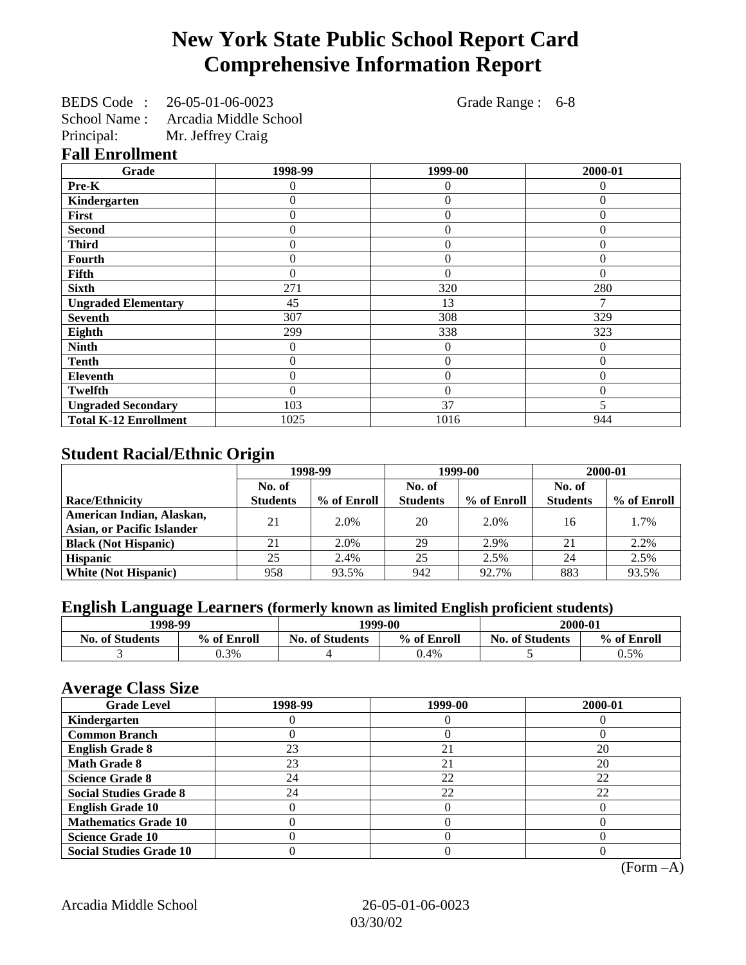## **New York State Public School Report Card Comprehensive Information Report**

BEDS Code : 26-05-01-06-0023 Grade Range : 6-8

School Name : Arcadia Middle School

Principal: Mr. Jeffrey Craig

## **Fall Enrollment**

| Grade                        | 1998-99          | 1999-00          | 2000-01  |
|------------------------------|------------------|------------------|----------|
| Pre-K                        | 0                | 0                | $\Omega$ |
| Kindergarten                 | $\Omega$         | $\overline{0}$   | $\Omega$ |
| <b>First</b>                 | $\theta$         | $\overline{0}$   | $\Omega$ |
| <b>Second</b>                | $\theta$         | $\overline{0}$   | $\Omega$ |
| <b>Third</b>                 | $\Omega$         | $\theta$         | $\Omega$ |
| <b>Fourth</b>                | $\Omega$         | $\theta$         | $\Omega$ |
| Fifth                        | 0                | $\overline{0}$   | $\Omega$ |
| <b>Sixth</b>                 | 271              | 320              | 280      |
| <b>Ungraded Elementary</b>   | 45               | 13               |          |
| <b>Seventh</b>               | 307              | 308              | 329      |
| Eighth                       | 299              | 338              | 323      |
| <b>Ninth</b>                 | $\theta$         | $\boldsymbol{0}$ | $\Omega$ |
| <b>Tenth</b>                 | $\boldsymbol{0}$ | $\overline{0}$   | $\Omega$ |
| <b>Eleventh</b>              | $\Omega$         | $\overline{0}$   | $\Omega$ |
| Twelfth                      | $\theta$         | $\theta$         | $\Omega$ |
| <b>Ungraded Secondary</b>    | 103              | 37               |          |
| <b>Total K-12 Enrollment</b> | 1025             | 1016             | 944      |

## **Student Racial/Ethnic Origin**

|                                                                  | 1998-99<br>No. of |             |                 | 1999-00     | 2000-01         |             |
|------------------------------------------------------------------|-------------------|-------------|-----------------|-------------|-----------------|-------------|
|                                                                  |                   |             | No. of          |             | No. of          |             |
| <b>Race/Ethnicity</b>                                            | <b>Students</b>   | % of Enroll | <b>Students</b> | % of Enroll | <b>Students</b> | % of Enroll |
| American Indian, Alaskan,                                        | 21                | 2.0%        | 20              | 2.0%        | 16              | 1.7%        |
| <b>Asian, or Pacific Islander</b><br><b>Black (Not Hispanic)</b> | 21                | 2.0%        | 29              | 2.9%        | 21              | 2.2%        |
| <b>Hispanic</b>                                                  | 25                | 2.4%        | 25              | 2.5%        | 24              | 2.5%        |
| <b>White (Not Hispanic)</b>                                      | 958               | 93.5%       | 942             | 92.7%       | 883             | 93.5%       |

## **English Language Learners (formerly known as limited English proficient students)**

| 1998-99                |             | 1999-00                |                    |  | 2000-01     |  |
|------------------------|-------------|------------------------|--------------------|--|-------------|--|
| <b>No. of Students</b> | % of Enroll | <b>No. of Students</b> | % of Enroll<br>No. |  | % of Enroll |  |
|                        | $0.3\%$     |                        | 0.4%               |  | 0.5%        |  |

### **Average Class Size**

| o<br><b>Grade Level</b>        | 1998-99 | 1999-00 | 2000-01 |
|--------------------------------|---------|---------|---------|
| Kindergarten                   |         |         |         |
| <b>Common Branch</b>           |         |         |         |
| <b>English Grade 8</b>         | 23      | 21      | 20      |
| <b>Math Grade 8</b>            | 23      | 21      | 20      |
| <b>Science Grade 8</b>         | 24      | 22      | 22      |
| <b>Social Studies Grade 8</b>  | 24      | 22      | 22      |
| <b>English Grade 10</b>        |         |         |         |
| <b>Mathematics Grade 10</b>    |         |         |         |
| <b>Science Grade 10</b>        |         |         |         |
| <b>Social Studies Grade 10</b> |         |         |         |

(Form –A)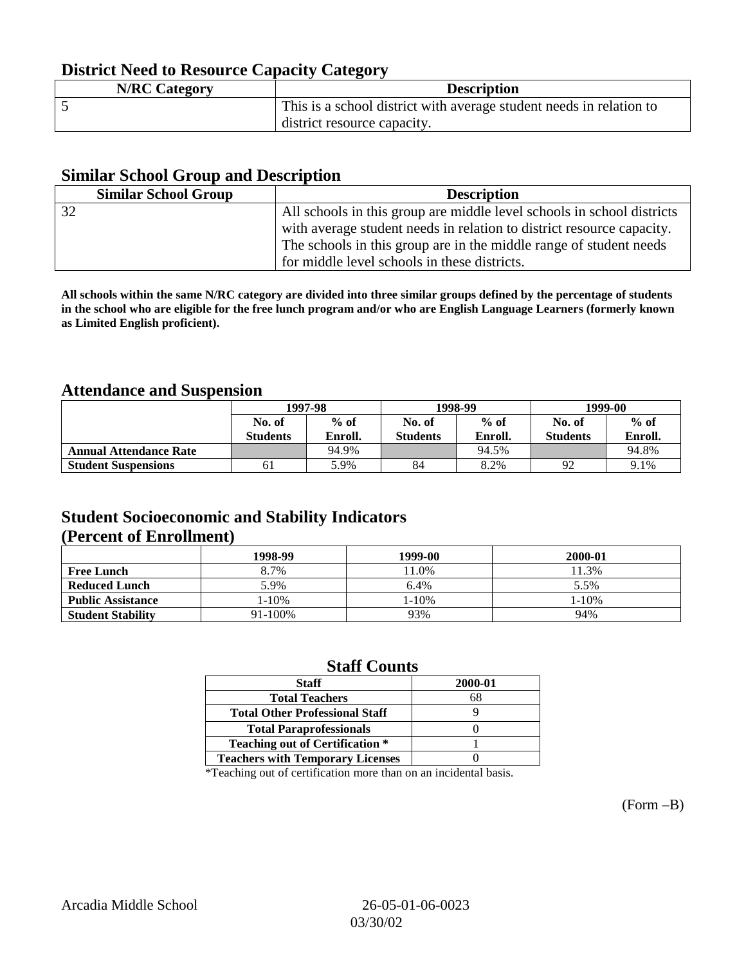## **District Need to Resource Capacity Category**

| <b>N/RC Category</b> | <b>Description</b>                                                  |
|----------------------|---------------------------------------------------------------------|
|                      | This is a school district with average student needs in relation to |
|                      | district resource capacity.                                         |

## **Similar School Group and Description**

| <b>Similar School Group</b> | <b>Description</b>                                                     |
|-----------------------------|------------------------------------------------------------------------|
| 32                          | All schools in this group are middle level schools in school districts |
|                             | with average student needs in relation to district resource capacity.  |
|                             | The schools in this group are in the middle range of student needs     |
|                             | for middle level schools in these districts.                           |

**All schools within the same N/RC category are divided into three similar groups defined by the percentage of students in the school who are eligible for the free lunch program and/or who are English Language Learners (formerly known as Limited English proficient).**

## **Attendance and Suspension**

|                               |                 | 1997-98 |                 | 1998-99 | 1999-00         |         |
|-------------------------------|-----------------|---------|-----------------|---------|-----------------|---------|
|                               | No. of          | $%$ of  |                 | $%$ of  | No. of          | $%$ of  |
|                               | <b>Students</b> | Enroll. | <b>Students</b> | Enroll. | <b>Students</b> | Enroll. |
| <b>Annual Attendance Rate</b> |                 | 94.9%   |                 | 94.5%   |                 | 94.8%   |
| <b>Student Suspensions</b>    | 61              | 5.9%    | 84              | 8.2%    | 92              | 9.1%    |

## **Student Socioeconomic and Stability Indicators (Percent of Enrollment)**

|                          | 1998-99    | 1999-00 | 2000-01 |
|--------------------------|------------|---------|---------|
| <b>Free Lunch</b>        | 8.7%       | 1.0%    | 11.3%   |
| <b>Reduced Lunch</b>     | 5.9%       | 6.4%    | 5.5%    |
| <b>Public Assistance</b> | $1 - 10\%$ | 1-10%   | 1-10%   |
| <b>Student Stability</b> | 91-100%    | 93%     | 94%     |

## **Staff Counts**

| <b>Staff</b>                            | 2000-01 |
|-----------------------------------------|---------|
| <b>Total Teachers</b>                   | 68      |
| <b>Total Other Professional Staff</b>   |         |
| <b>Total Paraprofessionals</b>          |         |
| <b>Teaching out of Certification *</b>  |         |
| <b>Teachers with Temporary Licenses</b> |         |

\*Teaching out of certification more than on an incidental basis.

(Form –B)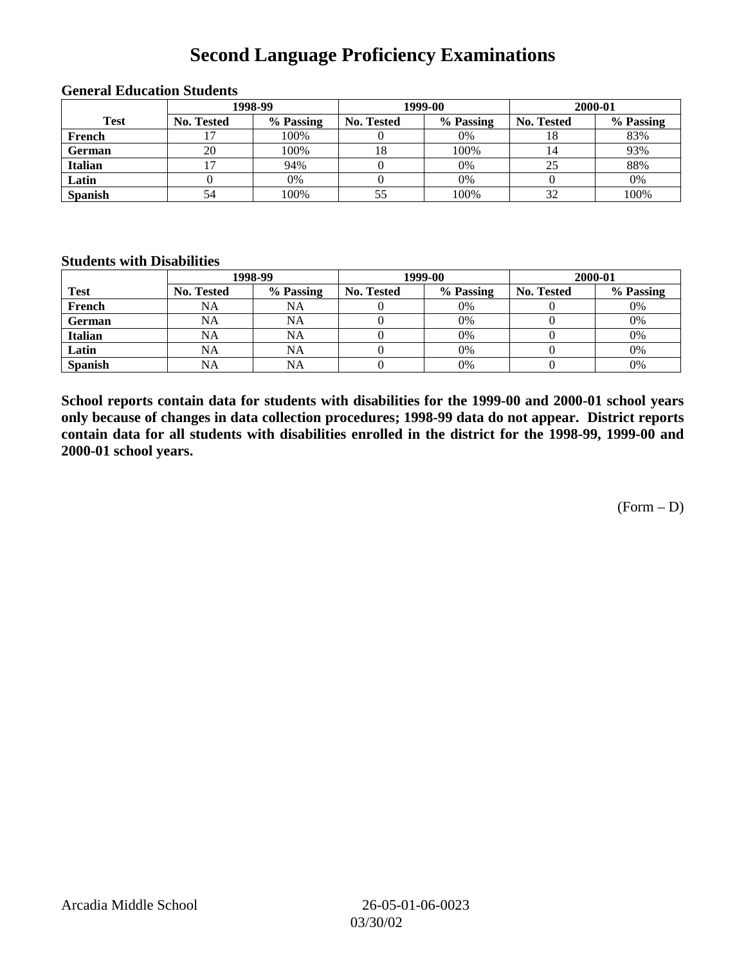## **Second Language Proficiency Examinations**

|                |            | 1998-99   |                   | 1999-00   | 2000-01    |           |  |
|----------------|------------|-----------|-------------------|-----------|------------|-----------|--|
| <b>Test</b>    | No. Tested | % Passing | <b>No. Tested</b> | % Passing | No. Tested | % Passing |  |
| French         |            | 100%      |                   | 0%        | 18         | 83%       |  |
| <b>German</b>  | 20         | 100%      | 18                | 100%      |            | 93%       |  |
| <b>Italian</b> |            | 94%       |                   | 0%        |            | 88%       |  |
| Latin          |            | 0%        |                   | 0%        |            | 0%        |  |
| <b>Spanish</b> | 54         | 100%      | 55                | 100%      | 32         | 100%      |  |

#### **General Education Students**

#### **Students with Disabilities**

|                | 1998-99    |           |                   | 1999-00   | 2000-01           |           |  |
|----------------|------------|-----------|-------------------|-----------|-------------------|-----------|--|
| <b>Test</b>    | No. Tested | % Passing | <b>No. Tested</b> | % Passing | <b>No. Tested</b> | % Passing |  |
| French         | NA         | <b>NA</b> |                   | 0%        |                   | 0%        |  |
| German         | NA         | <b>NA</b> |                   | 0%        |                   | 0%        |  |
| <b>Italian</b> | <b>NA</b>  | <b>NA</b> |                   | 0%        |                   | 0%        |  |
| Latin          | <b>NA</b>  | NA        |                   | 0%        |                   | 0%        |  |
| <b>Spanish</b> | <b>NA</b>  | NA        |                   | 0%        |                   | 0%        |  |

**School reports contain data for students with disabilities for the 1999-00 and 2000-01 school years only because of changes in data collection procedures; 1998-99 data do not appear. District reports contain data for all students with disabilities enrolled in the district for the 1998-99, 1999-00 and 2000-01 school years.**

(Form – D)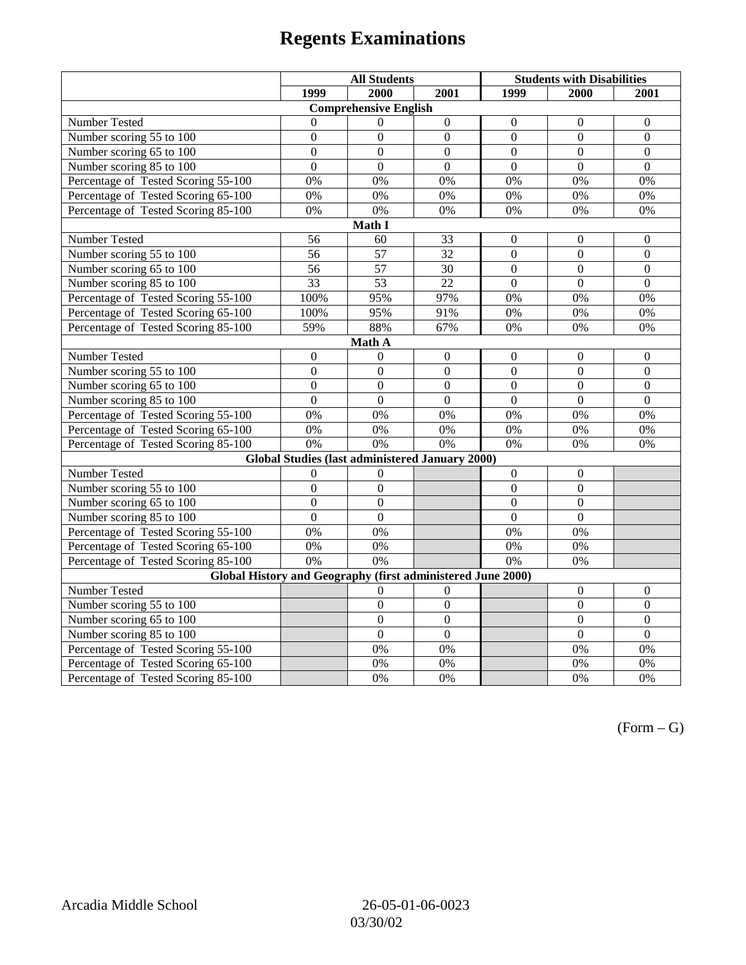# **Regents Examinations**

|                                                                                                    | <b>All Students</b> |                                                 |                  | <b>Students with Disabilities</b> |                  |                  |  |  |
|----------------------------------------------------------------------------------------------------|---------------------|-------------------------------------------------|------------------|-----------------------------------|------------------|------------------|--|--|
|                                                                                                    | 1999                | 2000                                            | 2001             | 1999                              | 2000             | 2001             |  |  |
|                                                                                                    |                     | <b>Comprehensive English</b>                    |                  |                                   |                  |                  |  |  |
| Number Tested                                                                                      | $\theta$            | $\Omega$                                        | $\boldsymbol{0}$ | $\boldsymbol{0}$                  | $\mathbf{0}$     | $\mathbf{0}$     |  |  |
| Number scoring 55 to 100                                                                           | $\boldsymbol{0}$    | $\boldsymbol{0}$                                | $\boldsymbol{0}$ | $\mathbf{0}$                      | $\mathbf{0}$     | $\mathbf{0}$     |  |  |
| Number scoring 65 to 100                                                                           | $\overline{0}$      | $\overline{0}$                                  | $\overline{0}$   | $\overline{0}$                    | $\overline{0}$   | $\mathbf{0}$     |  |  |
| Number scoring 85 to 100                                                                           | $\overline{0}$      | $\overline{0}$                                  | $\overline{0}$   | $\overline{0}$                    | $\overline{0}$   | $\Omega$         |  |  |
| Percentage of Tested Scoring 55-100                                                                | 0%                  | 0%                                              | 0%               | 0%                                | 0%               | 0%               |  |  |
| Percentage of Tested Scoring 65-100                                                                | 0%                  | 0%                                              | 0%               | 0%                                | 0%               | 0%               |  |  |
| Percentage of Tested Scoring 85-100                                                                | 0%                  | 0%                                              | 0%               | 0%                                | 0%               | 0%               |  |  |
|                                                                                                    |                     | Math I                                          |                  |                                   |                  |                  |  |  |
| <b>Number Tested</b><br>56<br>60<br>33<br>$\boldsymbol{0}$<br>$\boldsymbol{0}$<br>$\boldsymbol{0}$ |                     |                                                 |                  |                                   |                  |                  |  |  |
| Number scoring 55 to 100                                                                           | 56                  | $\overline{57}$                                 | 32               | $\overline{0}$                    | $\mathbf{0}$     | $\mathbf{0}$     |  |  |
| Number scoring 65 to 100                                                                           | 56                  | 57                                              | 30               | $\overline{0}$                    | $\boldsymbol{0}$ | $\boldsymbol{0}$ |  |  |
| Number scoring 85 to 100                                                                           | $\overline{33}$     | $\overline{53}$                                 | $\overline{22}$  | $\overline{0}$                    | $\overline{0}$   | $\overline{0}$   |  |  |
| Percentage of Tested Scoring 55-100                                                                | 100%                | 95%                                             | 97%              | 0%                                | 0%               | 0%               |  |  |
| Percentage of Tested Scoring 65-100                                                                | 100%                | 95%                                             | 91%              | 0%                                | 0%               | 0%               |  |  |
| Percentage of Tested Scoring 85-100                                                                | 59%                 | 88%                                             | 67%              | $0\%$                             | 0%               | 0%               |  |  |
|                                                                                                    |                     | Math A                                          |                  |                                   |                  |                  |  |  |
| Number Tested                                                                                      | $\boldsymbol{0}$    | $\mathbf{0}$                                    | $\boldsymbol{0}$ | $\boldsymbol{0}$                  | $\boldsymbol{0}$ | $\boldsymbol{0}$ |  |  |
| Number scoring 55 to 100                                                                           | $\boldsymbol{0}$    | $\boldsymbol{0}$                                | $\overline{0}$   | $\overline{0}$                    | $\overline{0}$   | $\boldsymbol{0}$ |  |  |
| Number scoring 65 to 100                                                                           | $\mathbf{0}$        | $\mathbf{0}$                                    | $\overline{0}$   | $\overline{0}$                    | $\mathbf{0}$     | $\boldsymbol{0}$ |  |  |
| Number scoring 85 to 100                                                                           | $\overline{0}$      | $\overline{0}$                                  | $\overline{0}$   | $\overline{0}$                    | $\mathbf{0}$     | $\mathbf{0}$     |  |  |
| Percentage of Tested Scoring 55-100                                                                | 0%                  | 0%                                              | 0%               | 0%                                | 0%               | 0%               |  |  |
| Percentage of Tested Scoring 65-100                                                                | 0%                  | 0%                                              | $\overline{0\%}$ | $\overline{0\%}$                  | $\overline{0\%}$ | $\overline{0\%}$ |  |  |
| Percentage of Tested Scoring 85-100                                                                | 0%                  | 0%                                              | 0%               | 0%                                | 0%               | 0%               |  |  |
|                                                                                                    |                     | Global Studies (last administered January 2000) |                  |                                   |                  |                  |  |  |
| Number Tested                                                                                      | $\boldsymbol{0}$    | $\boldsymbol{0}$                                |                  | $\mathbf{0}$                      | $\boldsymbol{0}$ |                  |  |  |
| Number scoring 55 to 100                                                                           | $\overline{0}$      | $\overline{0}$                                  |                  | $\overline{0}$                    | $\overline{0}$   |                  |  |  |
| Number scoring 65 to 100                                                                           | $\mathbf{0}$        | $\mathbf{0}$                                    |                  | $\theta$                          | $\mathbf{0}$     |                  |  |  |
| Number scoring 85 to 100                                                                           | $\overline{0}$      | $\mathbf{0}$                                    |                  | $\overline{0}$                    | $\mathbf{0}$     |                  |  |  |
| Percentage of Tested Scoring 55-100                                                                | 0%                  | 0%                                              |                  | 0%                                | 0%               |                  |  |  |
| Percentage of Tested Scoring 65-100                                                                | 0%                  | 0%                                              |                  | $0\%$                             | 0%               |                  |  |  |
| Percentage of Tested Scoring 85-100                                                                | 0%                  | $\overline{0\%}$                                |                  | 0%                                | 0%               |                  |  |  |
| Global History and Geography (first administered June 2000)                                        |                     |                                                 |                  |                                   |                  |                  |  |  |
| Number Tested                                                                                      |                     | 0                                               | $\overline{0}$   |                                   | $\mathbf{0}$     | $\mathbf{0}$     |  |  |
| Number scoring 55 to 100                                                                           |                     | $\boldsymbol{0}$                                | $\overline{0}$   |                                   | $\boldsymbol{0}$ | $\boldsymbol{0}$ |  |  |
| Number scoring 65 to 100                                                                           |                     | $\mathbf{0}$                                    | $\overline{0}$   |                                   | $\overline{0}$   | $\boldsymbol{0}$ |  |  |
| Number scoring 85 to 100                                                                           |                     | $\overline{0}$                                  | $\overline{0}$   |                                   | $\overline{0}$   | $\overline{0}$   |  |  |
| Percentage of Tested Scoring 55-100                                                                |                     | 0%                                              | 0%               |                                   | 0%               | 0%               |  |  |
| Percentage of Tested Scoring 65-100                                                                |                     | 0%                                              | 0%               |                                   | 0%               | 0%               |  |  |
| Percentage of Tested Scoring 85-100                                                                |                     | 0%                                              | 0%               |                                   | 0%               | 0%               |  |  |

 $(Form - G)$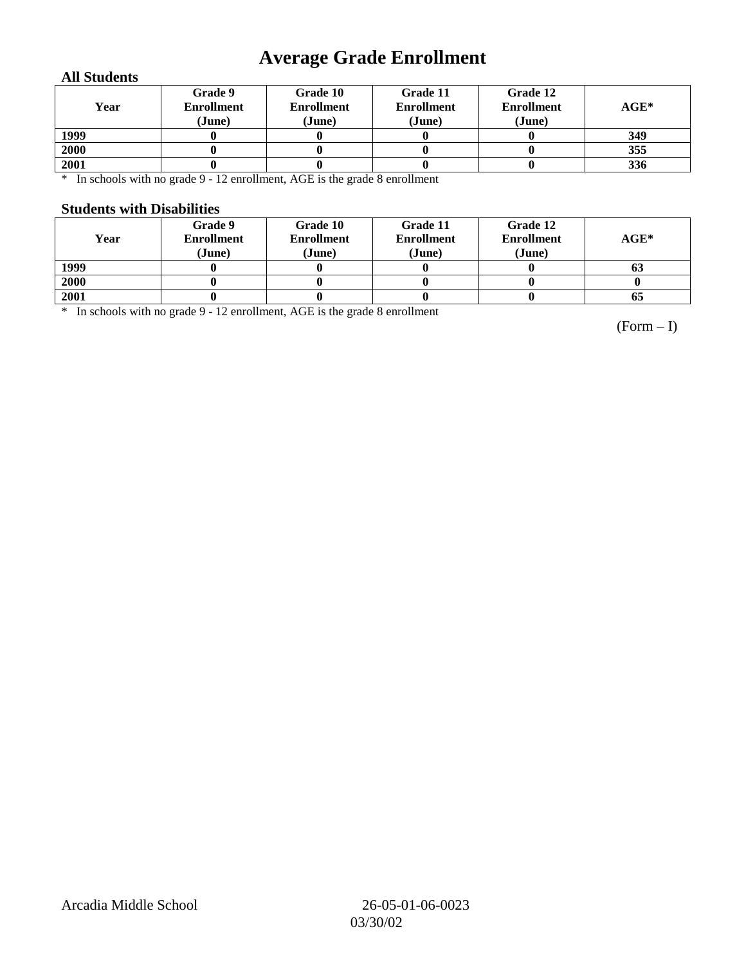## **Average Grade Enrollment**

### **All Students**

| Year | Grade 9<br><b>Enrollment</b><br>(June) | Grade 10<br><b>Enrollment</b><br>(June) | Grade 11<br><b>Enrollment</b><br>(June) | Grade 12<br><b>Enrollment</b><br>(June) | $AGE^*$ |
|------|----------------------------------------|-----------------------------------------|-----------------------------------------|-----------------------------------------|---------|
| 1999 |                                        |                                         |                                         |                                         | 349     |
| 2000 |                                        |                                         |                                         |                                         | 355     |
| 2001 |                                        |                                         |                                         |                                         | 336     |

\* In schools with no grade 9 - 12 enrollment, AGE is the grade 8 enrollment

#### **Students with Disabilities**

| Year | Grade 9<br><b>Enrollment</b><br>(June) | Grade 10<br><b>Enrollment</b><br>(June) | Grade 11<br><b>Enrollment</b><br>(June) | Grade 12<br><b>Enrollment</b><br>(June) | $AGE^*$ |
|------|----------------------------------------|-----------------------------------------|-----------------------------------------|-----------------------------------------|---------|
| 1999 |                                        |                                         |                                         |                                         | 03      |
| 2000 |                                        |                                         |                                         |                                         |         |
| 2001 |                                        |                                         |                                         |                                         | 65      |

\* In schools with no grade 9 - 12 enrollment, AGE is the grade 8 enrollment

(Form – I)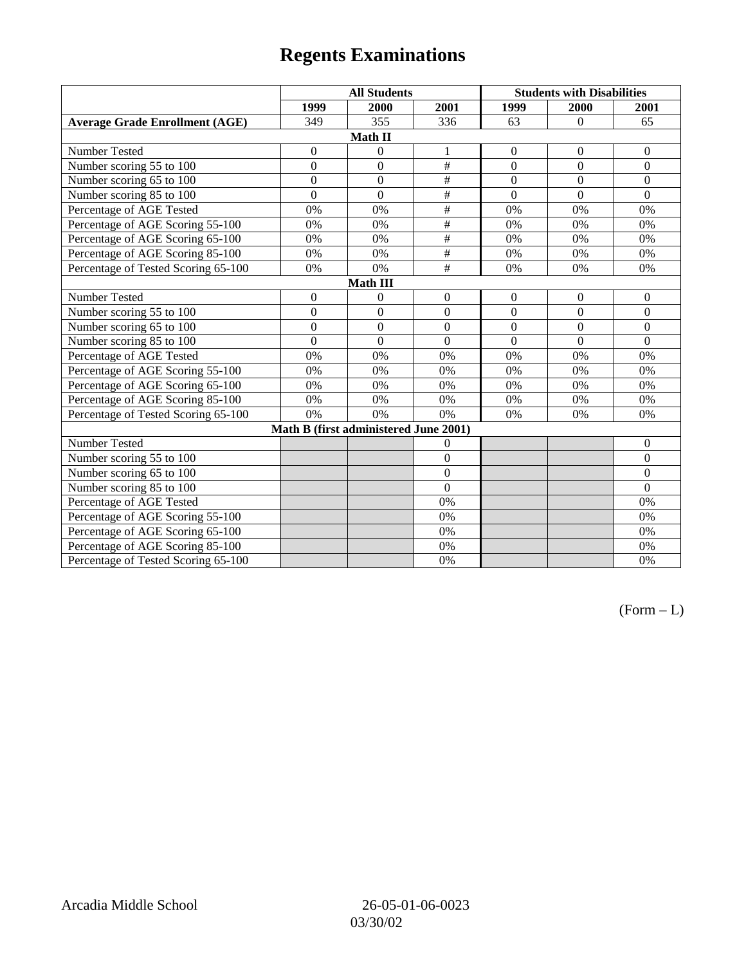# **Regents Examinations**

|                                       | <b>All Students</b> |                  |                  | <b>Students with Disabilities</b> |                |                  |  |  |
|---------------------------------------|---------------------|------------------|------------------|-----------------------------------|----------------|------------------|--|--|
|                                       | 1999                | 2000             | 2001             | 1999                              | 2000           | 2001             |  |  |
| <b>Average Grade Enrollment (AGE)</b> | 349                 | 355              | 336              | 63                                | $\mathbf{0}$   | 65               |  |  |
| Math II                               |                     |                  |                  |                                   |                |                  |  |  |
| Number Tested                         | $\boldsymbol{0}$    | $\boldsymbol{0}$ | 1                | $\boldsymbol{0}$                  | $\mathbf{0}$   | $\boldsymbol{0}$ |  |  |
| Number scoring 55 to 100              | $\overline{0}$      | $\overline{0}$   | #                | $\overline{0}$                    | $\overline{0}$ | $\overline{0}$   |  |  |
| Number scoring 65 to 100              | $\mathbf{0}$        | $\mathbf{0}$     | $\#$             | $\overline{0}$                    | $\mathbf{0}$   | $\overline{0}$   |  |  |
| Number scoring 85 to 100              | $\overline{0}$      | $\overline{0}$   | $\overline{\#}$  | $\overline{0}$                    | $\overline{0}$ | $\overline{0}$   |  |  |
| Percentage of AGE Tested              | 0%                  | 0%               | #                | 0%                                | 0%             | 0%               |  |  |
| Percentage of AGE Scoring 55-100      | 0%                  | 0%               | $\#$             | 0%                                | 0%             | 0%               |  |  |
| Percentage of AGE Scoring 65-100      | 0%                  | 0%               | $\#$             | 0%                                | 0%             | 0%               |  |  |
| Percentage of AGE Scoring 85-100      | 0%                  | 0%               | $\overline{\#}$  | 0%                                | 0%             | 0%               |  |  |
| Percentage of Tested Scoring 65-100   | 0%                  | 0%               | $\overline{\#}$  | 0%                                | 0%             | 0%               |  |  |
| <b>Math III</b>                       |                     |                  |                  |                                   |                |                  |  |  |
| Number Tested                         | $\theta$            | $\boldsymbol{0}$ | $\overline{0}$   | $\overline{0}$                    | $\mathbf{0}$   | $\mathbf{0}$     |  |  |
| Number scoring 55 to 100              | $\overline{0}$      | $\overline{0}$   | $\overline{0}$   | $\overline{0}$                    | $\overline{0}$ | $\overline{0}$   |  |  |
| Number scoring 65 to 100              | $\overline{0}$      | $\boldsymbol{0}$ | $\theta$         | $\theta$                          | $\theta$       | $\overline{0}$   |  |  |
| Number scoring 85 to 100              | $\overline{0}$      | $\overline{0}$   | $\theta$         | $\theta$                          | $\Omega$       | $\Omega$         |  |  |
| Percentage of AGE Tested              | 0%                  | 0%               | 0%               | 0%                                | 0%             | 0%               |  |  |
| Percentage of AGE Scoring 55-100      | 0%                  | 0%               | 0%               | 0%                                | 0%             | 0%               |  |  |
| Percentage of AGE Scoring 65-100      | 0%                  | 0%               | 0%               | 0%                                | 0%             | 0%               |  |  |
| Percentage of AGE Scoring 85-100      | 0%                  | 0%               | 0%               | 0%                                | 0%             | 0%               |  |  |
| Percentage of Tested Scoring 65-100   | 0%                  | 0%               | 0%               | 0%                                | 0%             | 0%               |  |  |
| Math B (first administered June 2001) |                     |                  |                  |                                   |                |                  |  |  |
| Number Tested                         |                     |                  | $\overline{0}$   |                                   |                | $\mathbf{0}$     |  |  |
| Number scoring 55 to 100              |                     |                  | $\theta$         |                                   |                | $\Omega$         |  |  |
| Number scoring 65 to 100              |                     |                  | $\boldsymbol{0}$ |                                   |                | $\overline{0}$   |  |  |
| Number scoring 85 to 100              |                     |                  | $\overline{0}$   |                                   |                | $\theta$         |  |  |
| Percentage of AGE Tested              |                     |                  | 0%               |                                   |                | 0%               |  |  |
| Percentage of AGE Scoring 55-100      |                     |                  | 0%               |                                   |                | 0%               |  |  |
| Percentage of AGE Scoring 65-100      |                     |                  | 0%               |                                   |                | 0%               |  |  |
| Percentage of AGE Scoring 85-100      |                     |                  | 0%               |                                   |                | 0%               |  |  |
| Percentage of Tested Scoring 65-100   |                     |                  | 0%               |                                   |                | 0%               |  |  |

 $(Form - L)$